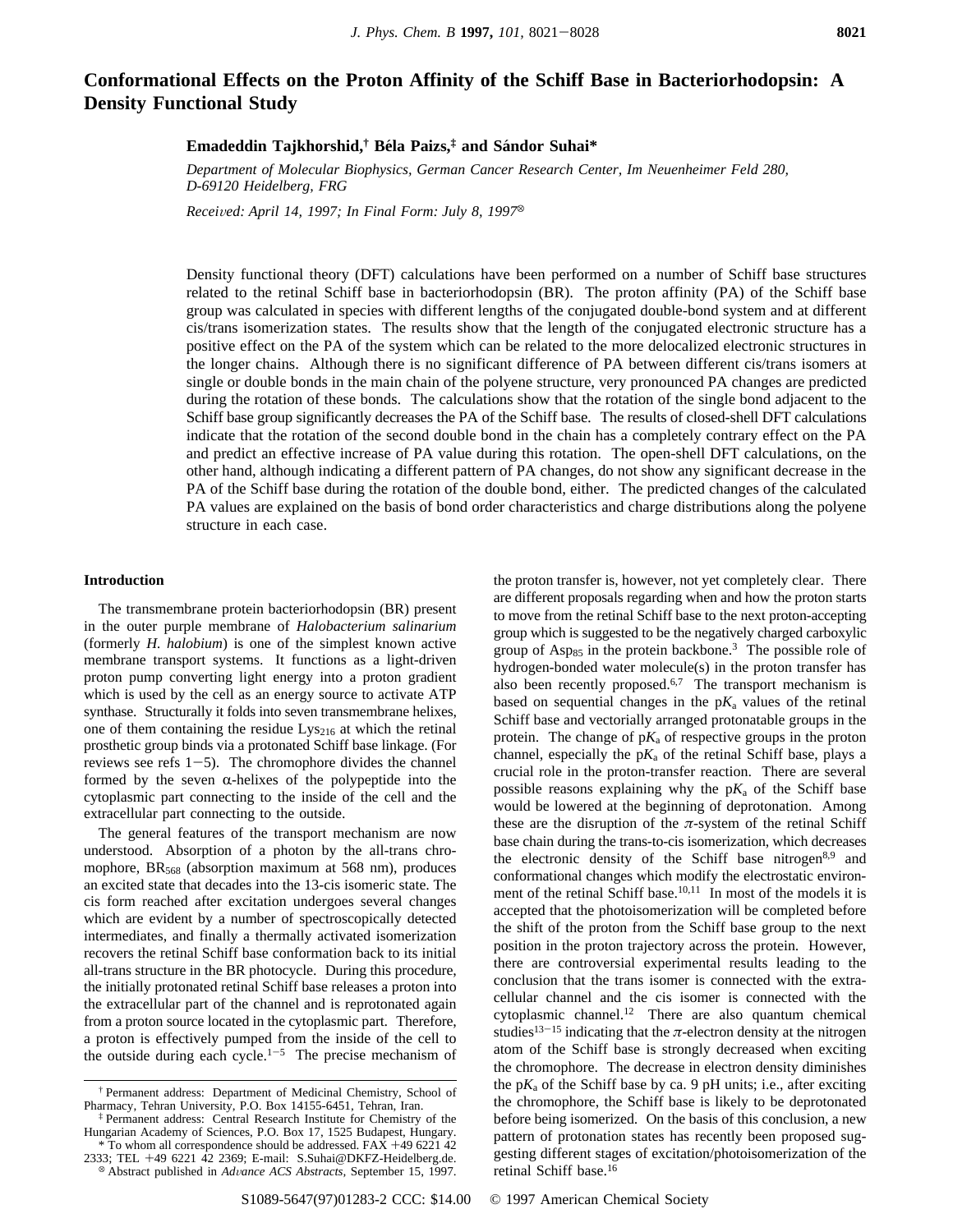# **Conformational Effects on the Proton Affinity of the Schiff Base in Bacteriorhodopsin: A Density Functional Study**

# **Emadeddin Tajkhorshid,<sup>†</sup> Béla Paizs,<sup>‡</sup> and Sándor Suhai\***

*Department of Molecular Biophysics, German Cancer Research Center, Im Neuenheimer Feld 280, D-69120 Heidelberg, FRG*

*Received: April 14, 1997; In Final Form: July 8, 1997*<sup>8</sup>

Density functional theory (DFT) calculations have been performed on a number of Schiff base structures related to the retinal Schiff base in bacteriorhodopsin (BR). The proton affinity (PA) of the Schiff base group was calculated in species with different lengths of the conjugated double-bond system and at different cis/trans isomerization states. The results show that the length of the conjugated electronic structure has a positive effect on the PA of the system which can be related to the more delocalized electronic structures in the longer chains. Although there is no significant difference of PA between different cis/trans isomers at single or double bonds in the main chain of the polyene structure, very pronounced PA changes are predicted during the rotation of these bonds. The calculations show that the rotation of the single bond adjacent to the Schiff base group significantly decreases the PA of the Schiff base. The results of closed-shell DFT calculations indicate that the rotation of the second double bond in the chain has a completely contrary effect on the PA and predict an effective increase of PA value during this rotation. The open-shell DFT calculations, on the other hand, although indicating a different pattern of PA changes, do not show any significant decrease in the PA of the Schiff base during the rotation of the double bond, either. The predicted changes of the calculated PA values are explained on the basis of bond order characteristics and charge distributions along the polyene structure in each case.

# **Introduction**

The transmembrane protein bacteriorhodopsin (BR) present in the outer purple membrane of *Halobacterium salinarium* (formerly *H. halobium*) is one of the simplest known active membrane transport systems. It functions as a light-driven proton pump converting light energy into a proton gradient which is used by the cell as an energy source to activate ATP synthase. Structurally it folds into seven transmembrane helixes, one of them containing the residue  $Lys_{216}$  at which the retinal prosthetic group binds via a protonated Schiff base linkage. (For reviews see refs  $1-5$ ). The chromophore divides the channel formed by the seven  $\alpha$ -helixes of the polypeptide into the cytoplasmic part connecting to the inside of the cell and the extracellular part connecting to the outside.

The general features of the transport mechanism are now understood. Absorption of a photon by the all-trans chromophore, BR<sub>568</sub> (absorption maximum at 568 nm), produces an excited state that decades into the 13-cis isomeric state. The cis form reached after excitation undergoes several changes which are evident by a number of spectroscopically detected intermediates, and finally a thermally activated isomerization recovers the retinal Schiff base conformation back to its initial all-trans structure in the BR photocycle. During this procedure, the initially protonated retinal Schiff base releases a proton into the extracellular part of the channel and is reprotonated again from a proton source located in the cytoplasmic part. Therefore, a proton is effectively pumped from the inside of the cell to the outside during each cycle.<sup>1-5</sup> The precise mechanism of

the proton transfer is, however, not yet completely clear. There are different proposals regarding when and how the proton starts to move from the retinal Schiff base to the next proton-accepting group which is suggested to be the negatively charged carboxylic group of Asp $_{85}$  in the protein backbone.<sup>3</sup> The possible role of hydrogen-bonded water molecule(s) in the proton transfer has also been recently proposed.<sup>6,7</sup> The transport mechanism is based on sequential changes in the  $pK_a$  values of the retinal Schiff base and vectorially arranged protonatable groups in the protein. The change of  $pK_a$  of respective groups in the proton channel, especially the  $pK_a$  of the retinal Schiff base, plays a crucial role in the proton-transfer reaction. There are several possible reasons explaining why the  $pK_a$  of the Schiff base would be lowered at the beginning of deprotonation. Among these are the disruption of the  $\pi$ -system of the retinal Schiff base chain during the trans-to-cis isomerization, which decreases the electronic density of the Schiff base nitrogen<sup>8,9</sup> and conformational changes which modify the electrostatic environment of the retinal Schiff base.<sup>10,11</sup> In most of the models it is accepted that the photoisomerization will be completed before the shift of the proton from the Schiff base group to the next position in the proton trajectory across the protein. However, there are controversial experimental results leading to the conclusion that the trans isomer is connected with the extracellular channel and the cis isomer is connected with the cytoplasmic channel.12 There are also quantum chemical studies<sup>13-15</sup> indicating that the  $\pi$ -electron density at the nitrogen atom of the Schiff base is strongly decreased when exciting the chromophore. The decrease in electron density diminishes the  $pK_a$  of the Schiff base by ca. 9 pH units; i.e., after exciting the chromophore, the Schiff base is likely to be deprotonated before being isomerized. On the basis of this conclusion, a new pattern of protonation states has recently been proposed suggesting different stages of excitation/photoisomerization of the retinal Schiff base.16

<sup>†</sup> Permanent address: Department of Medicinal Chemistry, School of Pharmacy, Tehran University, P.O. Box 14155-6451, Tehran, Iran.

<sup>‡</sup> Permanent address: Central Research Institute for Chemistry of the Hungarian Academy of Sciences, P.O. Box 17, 1525 Budapest, Hungary.  $*$  To whom all correspondence should be addressed. FAX  $+49$  6221 42 2333; TEL  $+49$  6221 42 2369; E-mail: S.Suhai@DKFZ-Heidelberg.de.

<sup>&</sup>lt;sup>8</sup> Abstract published in *Advance ACS Abstracts*, September 15, 1997.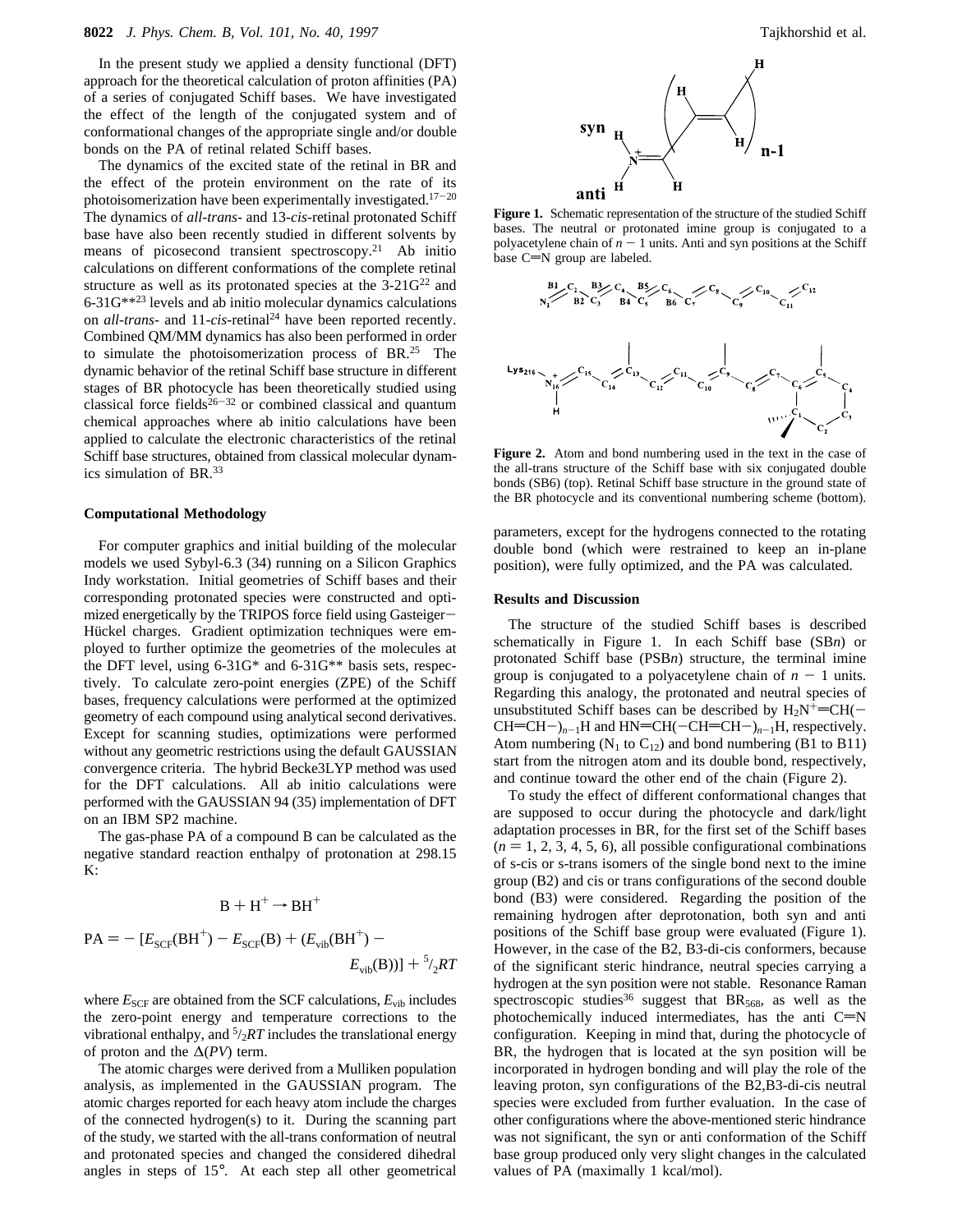In the present study we applied a density functional (DFT) approach for the theoretical calculation of proton affinities (PA) of a series of conjugated Schiff bases. We have investigated the effect of the length of the conjugated system and of conformational changes of the appropriate single and/or double bonds on the PA of retinal related Schiff bases.

The dynamics of the excited state of the retinal in BR and the effect of the protein environment on the rate of its photoisomerization have been experimentally investigated.<sup>17-20</sup> The dynamics of *all-trans*- and 13-*cis*-retinal protonated Schiff base have also been recently studied in different solvents by means of picosecond transient spectroscopy.21 Ab initio calculations on different conformations of the complete retinal structure as well as its protonated species at the  $3-21G^{22}$  and 6-31G\*\*23 levels and ab initio molecular dynamics calculations on *all-trans*- and 11-*cis*-retinal<sup>24</sup> have been reported recently. Combined QM/MM dynamics has also been performed in order to simulate the photoisomerization process of BR.25 The dynamic behavior of the retinal Schiff base structure in different stages of BR photocycle has been theoretically studied using classical force fields<sup>26-32</sup> or combined classical and quantum chemical approaches where ab initio calculations have been applied to calculate the electronic characteristics of the retinal Schiff base structures, obtained from classical molecular dynamics simulation of BR.33

# **Computational Methodology**

For computer graphics and initial building of the molecular models we used Sybyl-6.3 (34) running on a Silicon Graphics Indy workstation. Initial geometries of Schiff bases and their corresponding protonated species were constructed and optimized energetically by the TRIPOS force field using Gasteiger-Hückel charges. Gradient optimization techniques were employed to further optimize the geometries of the molecules at the DFT level, using 6-31G\* and 6-31G\*\* basis sets, respectively. To calculate zero-point energies (ZPE) of the Schiff bases, frequency calculations were performed at the optimized geometry of each compound using analytical second derivatives. Except for scanning studies, optimizations were performed without any geometric restrictions using the default GAUSSIAN convergence criteria. The hybrid Becke3LYP method was used for the DFT calculations. All ab initio calculations were performed with the GAUSSIAN 94 (35) implementation of DFT on an IBM SP2 machine.

The gas-phase PA of a compound B can be calculated as the negative standard reaction enthalpy of protonation at 298.15  $K^{\mathcal{A}}$ 

$$
B + H^{+} \rightarrow BH^{+}
$$
  
PA = -  $[E_{SCF}(BH^{+}) - E_{SCF}(B) + (E_{vib}(BH^{+}) - E_{vib}(B))] + \frac{5}{2}RT$ 

where  $E_{SCF}$  are obtained from the SCF calculations,  $E_{vib}$  includes the zero-point energy and temperature corrections to the vibrational enthalpy, and  $\frac{5}{2}RT$  includes the translational energy of proton and the ∆(*PV*) term.

The atomic charges were derived from a Mulliken population analysis, as implemented in the GAUSSIAN program. The atomic charges reported for each heavy atom include the charges of the connected hydrogen(s) to it. During the scanning part of the study, we started with the all-trans conformation of neutral and protonated species and changed the considered dihedral angles in steps of 15°. At each step all other geometrical



Figure 1. Schematic representation of the structure of the studied Schiff bases. The neutral or protonated imine group is conjugated to a polyacetylene chain of  $n - 1$  units. Anti and syn positions at the Schiff base C=N group are labeled.



**Figure 2.** Atom and bond numbering used in the text in the case of the all-trans structure of the Schiff base with six conjugated double bonds (SB6) (top). Retinal Schiff base structure in the ground state of the BR photocycle and its conventional numbering scheme (bottom).

parameters, except for the hydrogens connected to the rotating double bond (which were restrained to keep an in-plane position), were fully optimized, and the PA was calculated.

# **Results and Discussion**

The structure of the studied Schiff bases is described schematically in Figure 1. In each Schiff base (SB*n*) or protonated Schiff base (PSB*n*) structure, the terminal imine group is conjugated to a polyacetylene chain of  $n - 1$  units. Regarding this analogy, the protonated and neutral species of unsubstituted Schiff bases can be described by  $H_2N^+$ =CH(- $CH=CH-$ <sub>*n*-1</sub>H and HN=CH(-CH=CH-)<sub>*n*-1</sub>H, respectively. Atom numbering  $(N_1$  to  $C_{12}$ ) and bond numbering (B1 to B11) start from the nitrogen atom and its double bond, respectively, and continue toward the other end of the chain (Figure 2).

To study the effect of different conformational changes that are supposed to occur during the photocycle and dark/light adaptation processes in BR, for the first set of the Schiff bases  $(n = 1, 2, 3, 4, 5, 6)$ , all possible configurational combinations of s-cis or s-trans isomers of the single bond next to the imine group (B2) and cis or trans configurations of the second double bond (B3) were considered. Regarding the position of the remaining hydrogen after deprotonation, both syn and anti positions of the Schiff base group were evaluated (Figure 1). However, in the case of the B2, B3-di-cis conformers, because of the significant steric hindrance, neutral species carrying a hydrogen at the syn position were not stable. Resonance Raman spectroscopic studies<sup>36</sup> suggest that  $BR_{568}$ , as well as the photochemically induced intermediates, has the anti  $C=N$ configuration. Keeping in mind that, during the photocycle of BR, the hydrogen that is located at the syn position will be incorporated in hydrogen bonding and will play the role of the leaving proton, syn configurations of the B2,B3-di-cis neutral species were excluded from further evaluation. In the case of other configurations where the above-mentioned steric hindrance was not significant, the syn or anti conformation of the Schiff base group produced only very slight changes in the calculated values of PA (maximally 1 kcal/mol).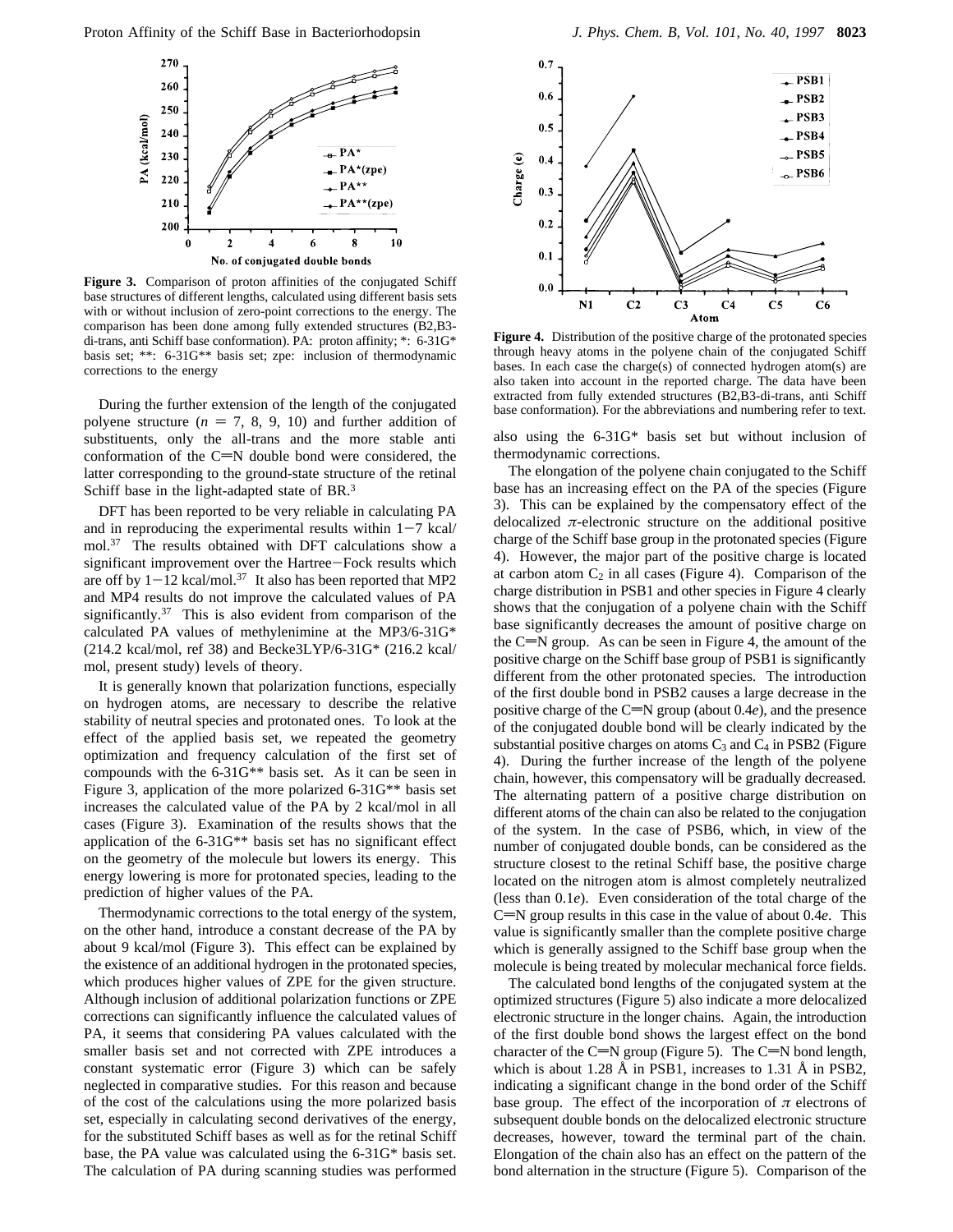

**Figure 3.** Comparison of proton affinities of the conjugated Schiff base structures of different lengths, calculated using different basis sets with or without inclusion of zero-point corrections to the energy. The comparison has been done among fully extended structures (B2,B3 di-trans, anti Schiff base conformation). PA: proton affinity; \*: 6-31G\* basis set; \*\*: 6-31G\*\* basis set; zpe: inclusion of thermodynamic corrections to the energy

During the further extension of the length of the conjugated polyene structure  $(n = 7, 8, 9, 10)$  and further addition of substituents, only the all-trans and the more stable anti conformation of the  $C=N$  double bond were considered, the latter corresponding to the ground-state structure of the retinal Schiff base in the light-adapted state of BR.3

DFT has been reported to be very reliable in calculating PA and in reproducing the experimental results within  $1-7$  kcal/ mol.37 The results obtained with DFT calculations show a significant improvement over the Hartree-Fock results which are off by  $1-12$  kcal/mol.<sup>37</sup> It also has been reported that MP2 and MP4 results do not improve the calculated values of PA significantly.<sup>37</sup> This is also evident from comparison of the calculated PA values of methylenimine at the MP3/6-31G\* (214.2 kcal/mol, ref 38) and Becke3LYP/6-31G\* (216.2 kcal/ mol, present study) levels of theory.

It is generally known that polarization functions, especially on hydrogen atoms, are necessary to describe the relative stability of neutral species and protonated ones. To look at the effect of the applied basis set, we repeated the geometry optimization and frequency calculation of the first set of compounds with the 6-31G\*\* basis set. As it can be seen in Figure 3, application of the more polarized 6-31G\*\* basis set increases the calculated value of the PA by 2 kcal/mol in all cases (Figure 3). Examination of the results shows that the application of the 6-31G\*\* basis set has no significant effect on the geometry of the molecule but lowers its energy. This energy lowering is more for protonated species, leading to the prediction of higher values of the PA.

Thermodynamic corrections to the total energy of the system, on the other hand, introduce a constant decrease of the PA by about 9 kcal/mol (Figure 3). This effect can be explained by the existence of an additional hydrogen in the protonated species, which produces higher values of ZPE for the given structure. Although inclusion of additional polarization functions or ZPE corrections can significantly influence the calculated values of PA, it seems that considering PA values calculated with the smaller basis set and not corrected with ZPE introduces a constant systematic error (Figure 3) which can be safely neglected in comparative studies. For this reason and because of the cost of the calculations using the more polarized basis set, especially in calculating second derivatives of the energy, for the substituted Schiff bases as well as for the retinal Schiff base, the PA value was calculated using the 6-31G\* basis set. The calculation of PA during scanning studies was performed



**Figure 4.** Distribution of the positive charge of the protonated species through heavy atoms in the polyene chain of the conjugated Schiff bases. In each case the charge(s) of connected hydrogen atom(s) are also taken into account in the reported charge. The data have been extracted from fully extended structures (B2,B3-di-trans, anti Schiff base conformation). For the abbreviations and numbering refer to text.

also using the 6-31G\* basis set but without inclusion of thermodynamic corrections.

The elongation of the polyene chain conjugated to the Schiff base has an increasing effect on the PA of the species (Figure 3). This can be explained by the compensatory effect of the delocalized  $\pi$ -electronic structure on the additional positive charge of the Schiff base group in the protonated species (Figure 4). However, the major part of the positive charge is located at carbon atom  $C_2$  in all cases (Figure 4). Comparison of the charge distribution in PSB1 and other species in Figure 4 clearly shows that the conjugation of a polyene chain with the Schiff base significantly decreases the amount of positive charge on the C $=N$  group. As can be seen in Figure 4, the amount of the positive charge on the Schiff base group of PSB1 is significantly different from the other protonated species. The introduction of the first double bond in PSB2 causes a large decrease in the positive charge of the C=N group (about 0.4*e*), and the presence of the conjugated double bond will be clearly indicated by the substantial positive charges on atoms  $C_3$  and  $C_4$  in PSB2 (Figure 4). During the further increase of the length of the polyene chain, however, this compensatory will be gradually decreased. The alternating pattern of a positive charge distribution on different atoms of the chain can also be related to the conjugation of the system. In the case of PSB6, which, in view of the number of conjugated double bonds, can be considered as the structure closest to the retinal Schiff base, the positive charge located on the nitrogen atom is almost completely neutralized (less than 0.1*e*). Even consideration of the total charge of the C=N group results in this case in the value of about 0.4*e*. This value is significantly smaller than the complete positive charge which is generally assigned to the Schiff base group when the molecule is being treated by molecular mechanical force fields.

The calculated bond lengths of the conjugated system at the optimized structures (Figure 5) also indicate a more delocalized electronic structure in the longer chains. Again, the introduction of the first double bond shows the largest effect on the bond character of the C=N group (Figure 5). The C=N bond length, which is about 1.28 Å in PSB1, increases to 1.31 Å in PSB2, indicating a significant change in the bond order of the Schiff base group. The effect of the incorporation of  $\pi$  electrons of subsequent double bonds on the delocalized electronic structure decreases, however, toward the terminal part of the chain. Elongation of the chain also has an effect on the pattern of the bond alternation in the structure (Figure 5). Comparison of the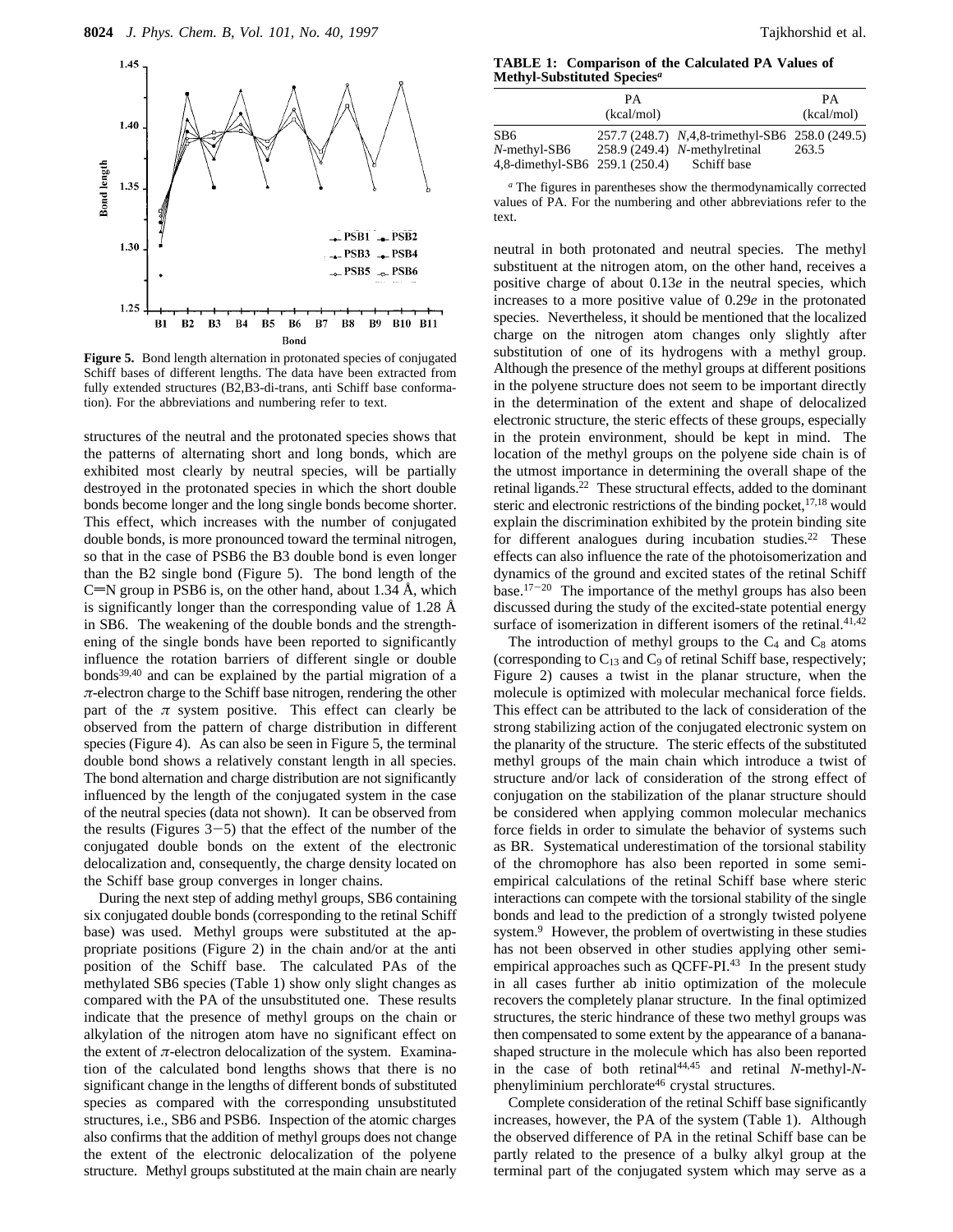

Figure 5. Bond length alternation in protonated species of conjugated Schiff bases of different lengths. The data have been extracted from fully extended structures (B2,B3-di-trans, anti Schiff base conformation). For the abbreviations and numbering refer to text.

structures of the neutral and the protonated species shows that the patterns of alternating short and long bonds, which are exhibited most clearly by neutral species, will be partially destroyed in the protonated species in which the short double bonds become longer and the long single bonds become shorter. This effect, which increases with the number of conjugated double bonds, is more pronounced toward the terminal nitrogen, so that in the case of PSB6 the B3 double bond is even longer than the B2 single bond (Figure 5). The bond length of the C=N group in PSB6 is, on the other hand, about 1.34 Å, which is significantly longer than the corresponding value of 1.28  $\AA$ in SB6. The weakening of the double bonds and the strengthening of the single bonds have been reported to significantly influence the rotation barriers of different single or double bonds $39,40$  and can be explained by the partial migration of a *π*-electron charge to the Schiff base nitrogen, rendering the other part of the  $\pi$  system positive. This effect can clearly be observed from the pattern of charge distribution in different species (Figure 4). As can also be seen in Figure 5, the terminal double bond shows a relatively constant length in all species. The bond alternation and charge distribution are not significantly influenced by the length of the conjugated system in the case of the neutral species (data not shown). It can be observed from the results (Figures  $3-5$ ) that the effect of the number of the conjugated double bonds on the extent of the electronic delocalization and, consequently, the charge density located on the Schiff base group converges in longer chains.

During the next step of adding methyl groups, SB6 containing six conjugated double bonds (corresponding to the retinal Schiff base) was used. Methyl groups were substituted at the appropriate positions (Figure 2) in the chain and/or at the anti position of the Schiff base. The calculated PAs of the methylated SB6 species (Table 1) show only slight changes as compared with the PA of the unsubstituted one. These results indicate that the presence of methyl groups on the chain or alkylation of the nitrogen atom have no significant effect on the extent of  $\pi$ -electron delocalization of the system. Examination of the calculated bond lengths shows that there is no significant change in the lengths of different bonds of substituted species as compared with the corresponding unsubstituted structures, i.e., SB6 and PSB6. Inspection of the atomic charges also confirms that the addition of methyl groups does not change the extent of the electronic delocalization of the polyene structure. Methyl groups substituted at the main chain are nearly

**TABLE 1: Comparison of the Calculated PA Values of Methyl-Substituted Species***<sup>a</sup>*

|                                | PА<br>(kcal/mol) |                                                 | PА<br>(kcal/mol) |
|--------------------------------|------------------|-------------------------------------------------|------------------|
| SB6                            |                  | 257.7 (248.7) N,4,8-trimethyl-SB6 258.0 (249.5) |                  |
| N-methyl-SB6                   |                  | $258.9(249.4)$ N-methylretinal                  | 263.5            |
| 4,8-dimethyl-SB6 259.1 (250.4) |                  | Schiff base                                     |                  |

*<sup>a</sup>* The figures in parentheses show the thermodynamically corrected values of PA. For the numbering and other abbreviations refer to the text.

neutral in both protonated and neutral species. The methyl substituent at the nitrogen atom, on the other hand, receives a positive charge of about 0.13*e* in the neutral species, which increases to a more positive value of 0.29*e* in the protonated species. Nevertheless, it should be mentioned that the localized charge on the nitrogen atom changes only slightly after substitution of one of its hydrogens with a methyl group. Although the presence of the methyl groups at different positions in the polyene structure does not seem to be important directly in the determination of the extent and shape of delocalized electronic structure, the steric effects of these groups, especially in the protein environment, should be kept in mind. The location of the methyl groups on the polyene side chain is of the utmost importance in determining the overall shape of the retinal ligands.22 These structural effects, added to the dominant steric and electronic restrictions of the binding pocket, $17,18$  would explain the discrimination exhibited by the protein binding site for different analogues during incubation studies.<sup>22</sup> These effects can also influence the rate of the photoisomerization and dynamics of the ground and excited states of the retinal Schiff base.17-<sup>20</sup> The importance of the methyl groups has also been discussed during the study of the excited-state potential energy surface of isomerization in different isomers of the retinal.<sup>41,42</sup>

The introduction of methyl groups to the  $C_4$  and  $C_8$  atoms (corresponding to  $C_{13}$  and  $C_9$  of retinal Schiff base, respectively; Figure 2) causes a twist in the planar structure, when the molecule is optimized with molecular mechanical force fields. This effect can be attributed to the lack of consideration of the strong stabilizing action of the conjugated electronic system on the planarity of the structure. The steric effects of the substituted methyl groups of the main chain which introduce a twist of structure and/or lack of consideration of the strong effect of conjugation on the stabilization of the planar structure should be considered when applying common molecular mechanics force fields in order to simulate the behavior of systems such as BR. Systematical underestimation of the torsional stability of the chromophore has also been reported in some semiempirical calculations of the retinal Schiff base where steric interactions can compete with the torsional stability of the single bonds and lead to the prediction of a strongly twisted polyene system.<sup>9</sup> However, the problem of overtwisting in these studies has not been observed in other studies applying other semiempirical approaches such as QCFF-PI.<sup>43</sup> In the present study in all cases further ab initio optimization of the molecule recovers the completely planar structure. In the final optimized structures, the steric hindrance of these two methyl groups was then compensated to some extent by the appearance of a bananashaped structure in the molecule which has also been reported in the case of both retinal<sup>44,45</sup> and retinal *N*-methyl-*N*phenyliminium perchlorate<sup>46</sup> crystal structures.

Complete consideration of the retinal Schiff base significantly increases, however, the PA of the system (Table 1). Although the observed difference of PA in the retinal Schiff base can be partly related to the presence of a bulky alkyl group at the terminal part of the conjugated system which may serve as a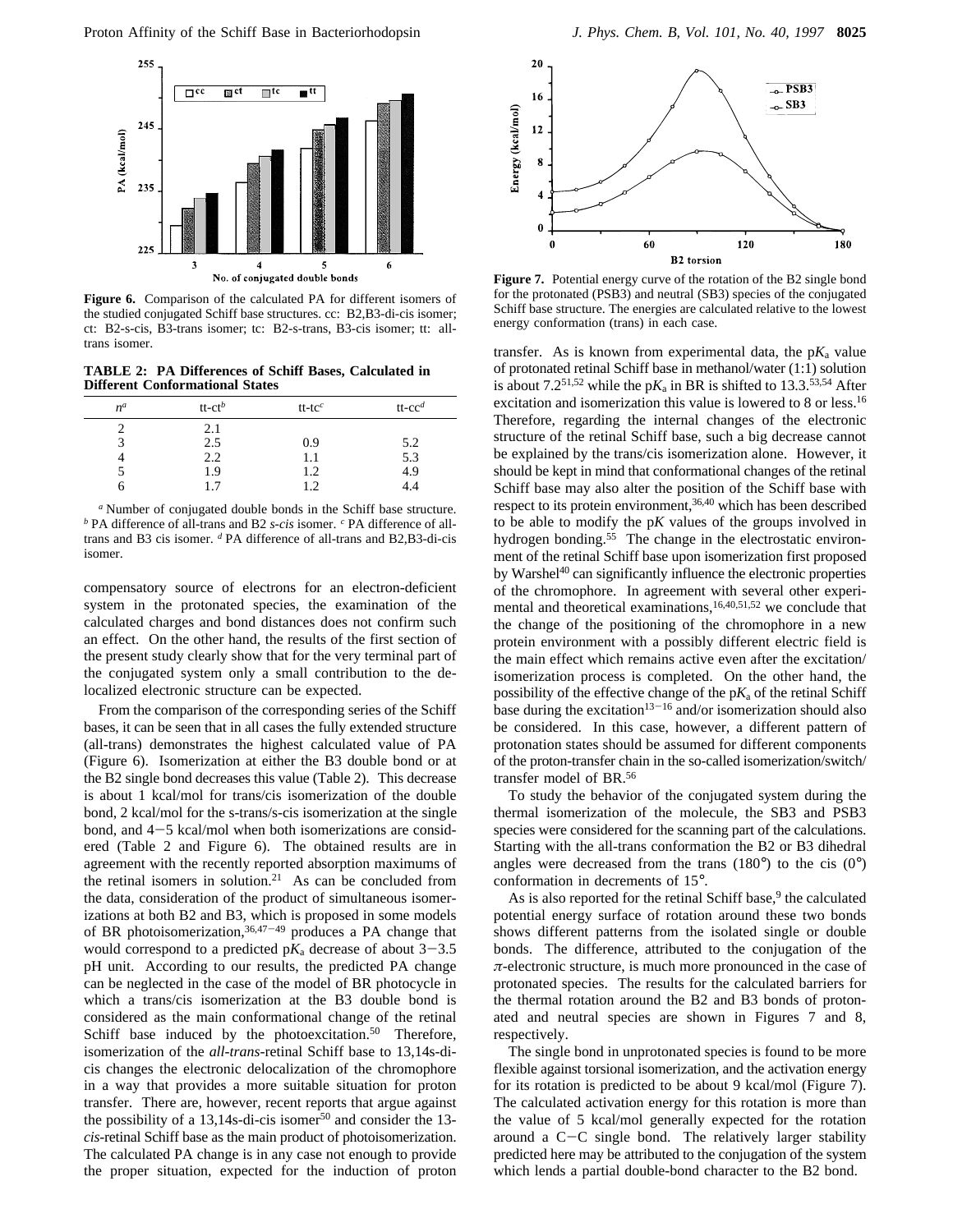

**Figure 6.** Comparison of the calculated PA for different isomers of the studied conjugated Schiff base structures. cc: B2,B3-di-cis isomer; ct: B2-s-cis, B3-trans isomer; tc: B2-s-trans, B3-cis isomer; tt: alltrans isomer.

**TABLE 2: PA Differences of Schiff Bases, Calculated in Different Conformational States**

| $n^a$ | $tt-ct^b$ | $tt-tcc$ | $tt-cc^d$      |
|-------|-----------|----------|----------------|
|       | 2.1       |          |                |
|       | 2.5       | 0.9      | 5.2            |
|       | 2.2       | 1.1      | 5.3            |
|       | 1.9       | 1.2      | 4.9            |
|       | 1.7       | 1.2      | $\overline{4}$ |

*<sup>a</sup>* Number of conjugated double bonds in the Schiff base structure. *<sup>b</sup>* PA difference of all-trans and B2 *s-cis* isomer. *<sup>c</sup>* PA difference of alltrans and B3 cis isomer. *<sup>d</sup>* PA difference of all-trans and B2,B3-di-cis isomer.

compensatory source of electrons for an electron-deficient system in the protonated species, the examination of the calculated charges and bond distances does not confirm such an effect. On the other hand, the results of the first section of the present study clearly show that for the very terminal part of the conjugated system only a small contribution to the delocalized electronic structure can be expected.

From the comparison of the corresponding series of the Schiff bases, it can be seen that in all cases the fully extended structure (all-trans) demonstrates the highest calculated value of PA (Figure 6). Isomerization at either the B3 double bond or at the B2 single bond decreases this value (Table 2). This decrease is about 1 kcal/mol for trans/cis isomerization of the double bond, 2 kcal/mol for the s-trans/s-cis isomerization at the single bond, and 4-5 kcal/mol when both isomerizations are considered (Table 2 and Figure 6). The obtained results are in agreement with the recently reported absorption maximums of the retinal isomers in solution.21 As can be concluded from the data, consideration of the product of simultaneous isomerizations at both B2 and B3, which is proposed in some models of BR photoisomerization,  $36,47-49$  produces a PA change that would correspond to a predicted  $pK_a$  decrease of about  $3-3.5$ pH unit. According to our results, the predicted PA change can be neglected in the case of the model of BR photocycle in which a trans/cis isomerization at the B3 double bond is considered as the main conformational change of the retinal Schiff base induced by the photoexcitation.<sup>50</sup> Therefore, isomerization of the *all-trans*-retinal Schiff base to 13,14s-dicis changes the electronic delocalization of the chromophore in a way that provides a more suitable situation for proton transfer. There are, however, recent reports that argue against the possibility of a 13,14s-di-cis isomer $50$  and consider the 13*cis*-retinal Schiff base as the main product of photoisomerization. The calculated PA change is in any case not enough to provide the proper situation, expected for the induction of proton



**Figure 7.** Potential energy curve of the rotation of the B2 single bond for the protonated (PSB3) and neutral (SB3) species of the conjugated Schiff base structure. The energies are calculated relative to the lowest energy conformation (trans) in each case.

transfer. As is known from experimental data, the  $pK_a$  value of protonated retinal Schiff base in methanol/water (1:1) solution is about 7.2<sup>51,52</sup> while the p $K_a$  in BR is shifted to 13.3.<sup>53,54</sup> After excitation and isomerization this value is lowered to 8 or less.<sup>16</sup> Therefore, regarding the internal changes of the electronic structure of the retinal Schiff base, such a big decrease cannot be explained by the trans/cis isomerization alone. However, it should be kept in mind that conformational changes of the retinal Schiff base may also alter the position of the Schiff base with respect to its protein environment,<sup>36,40</sup> which has been described to be able to modify the p*K* values of the groups involved in hydrogen bonding.<sup>55</sup> The change in the electrostatic environment of the retinal Schiff base upon isomerization first proposed by Warshel<sup>40</sup> can significantly influence the electronic properties of the chromophore. In agreement with several other experimental and theoretical examinations,16,40,51,52 we conclude that the change of the positioning of the chromophore in a new protein environment with a possibly different electric field is the main effect which remains active even after the excitation/ isomerization process is completed. On the other hand, the possibility of the effective change of the  $pK_a$  of the retinal Schiff base during the excitation<sup>13-16</sup> and/or isomerization should also be considered. In this case, however, a different pattern of protonation states should be assumed for different components of the proton-transfer chain in the so-called isomerization/switch/ transfer model of BR.56

To study the behavior of the conjugated system during the thermal isomerization of the molecule, the SB3 and PSB3 species were considered for the scanning part of the calculations. Starting with the all-trans conformation the B2 or B3 dihedral angles were decreased from the trans (180°) to the cis (0°) conformation in decrements of 15°.

As is also reported for the retinal Schiff base,<sup>9</sup> the calculated potential energy surface of rotation around these two bonds shows different patterns from the isolated single or double bonds. The difference, attributed to the conjugation of the *π*-electronic structure, is much more pronounced in the case of protonated species. The results for the calculated barriers for the thermal rotation around the B2 and B3 bonds of protonated and neutral species are shown in Figures 7 and 8, respectively.

The single bond in unprotonated species is found to be more flexible against torsional isomerization, and the activation energy for its rotation is predicted to be about 9 kcal/mol (Figure 7). The calculated activation energy for this rotation is more than the value of 5 kcal/mol generally expected for the rotation around a  $C-C$  single bond. The relatively larger stability predicted here may be attributed to the conjugation of the system which lends a partial double-bond character to the B2 bond.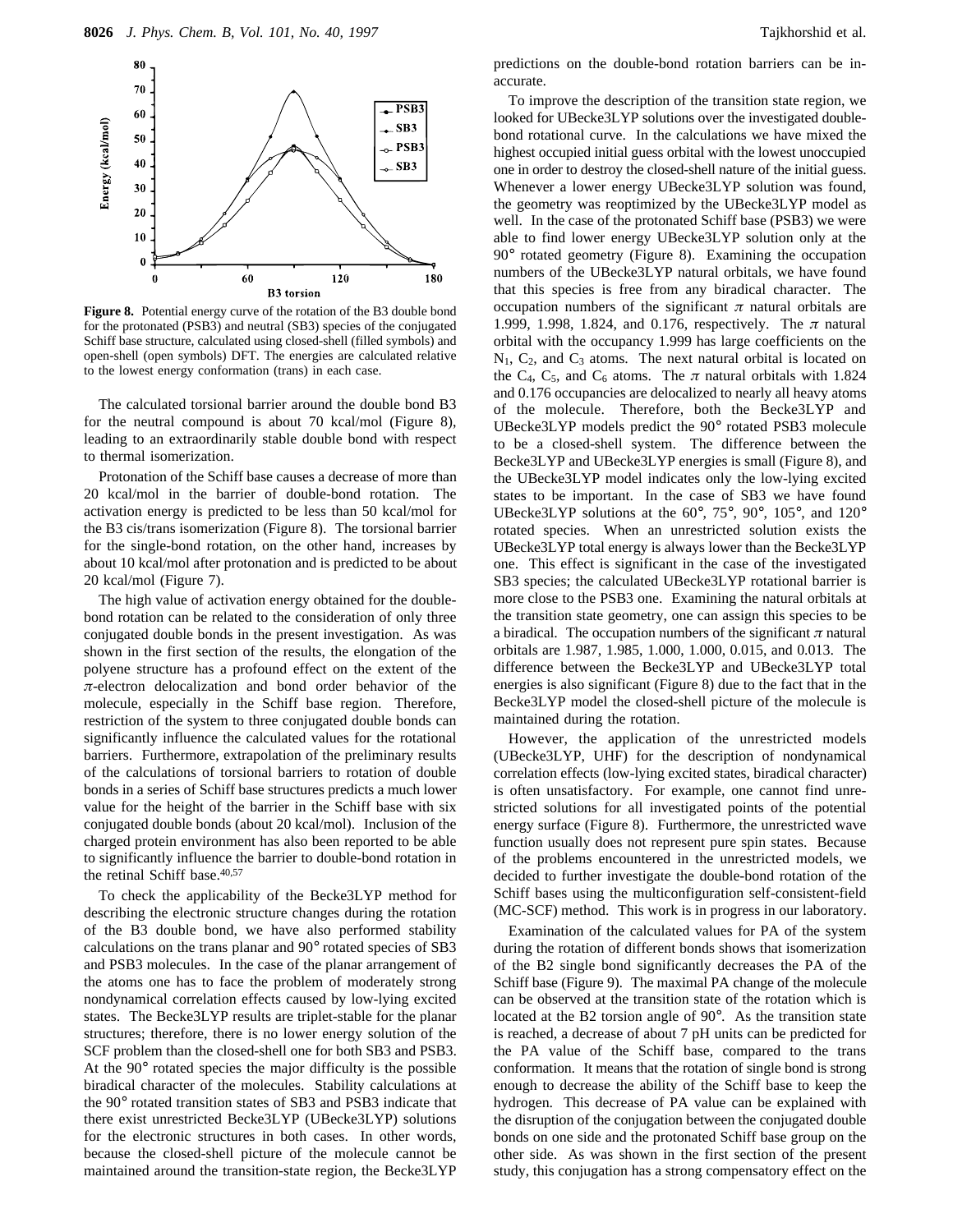

**Figure 8.** Potential energy curve of the rotation of the B3 double bond for the protonated (PSB3) and neutral (SB3) species of the conjugated Schiff base structure, calculated using closed-shell (filled symbols) and open-shell (open symbols) DFT. The energies are calculated relative to the lowest energy conformation (trans) in each case.

The calculated torsional barrier around the double bond B3 for the neutral compound is about 70 kcal/mol (Figure 8), leading to an extraordinarily stable double bond with respect to thermal isomerization.

Protonation of the Schiff base causes a decrease of more than 20 kcal/mol in the barrier of double-bond rotation. The activation energy is predicted to be less than 50 kcal/mol for the B3 cis/trans isomerization (Figure 8). The torsional barrier for the single-bond rotation, on the other hand, increases by about 10 kcal/mol after protonation and is predicted to be about 20 kcal/mol (Figure 7).

The high value of activation energy obtained for the doublebond rotation can be related to the consideration of only three conjugated double bonds in the present investigation. As was shown in the first section of the results, the elongation of the polyene structure has a profound effect on the extent of the *π*-electron delocalization and bond order behavior of the molecule, especially in the Schiff base region. Therefore, restriction of the system to three conjugated double bonds can significantly influence the calculated values for the rotational barriers. Furthermore, extrapolation of the preliminary results of the calculations of torsional barriers to rotation of double bonds in a series of Schiff base structures predicts a much lower value for the height of the barrier in the Schiff base with six conjugated double bonds (about 20 kcal/mol). Inclusion of the charged protein environment has also been reported to be able to significantly influence the barrier to double-bond rotation in the retinal Schiff base.<sup>40,57</sup>

To check the applicability of the Becke3LYP method for describing the electronic structure changes during the rotation of the B3 double bond, we have also performed stability calculations on the trans planar and 90° rotated species of SB3 and PSB3 molecules. In the case of the planar arrangement of the atoms one has to face the problem of moderately strong nondynamical correlation effects caused by low-lying excited states. The Becke3LYP results are triplet-stable for the planar structures; therefore, there is no lower energy solution of the SCF problem than the closed-shell one for both SB3 and PSB3. At the 90° rotated species the major difficulty is the possible biradical character of the molecules. Stability calculations at the 90° rotated transition states of SB3 and PSB3 indicate that there exist unrestricted Becke3LYP (UBecke3LYP) solutions for the electronic structures in both cases. In other words, because the closed-shell picture of the molecule cannot be maintained around the transition-state region, the Becke3LYP predictions on the double-bond rotation barriers can be inaccurate.

To improve the description of the transition state region, we looked for UBecke3LYP solutions over the investigated doublebond rotational curve. In the calculations we have mixed the highest occupied initial guess orbital with the lowest unoccupied one in order to destroy the closed-shell nature of the initial guess. Whenever a lower energy UBecke3LYP solution was found, the geometry was reoptimized by the UBecke3LYP model as well. In the case of the protonated Schiff base (PSB3) we were able to find lower energy UBecke3LYP solution only at the 90° rotated geometry (Figure 8). Examining the occupation numbers of the UBecke3LYP natural orbitals, we have found that this species is free from any biradical character. The occupation numbers of the significant  $\pi$  natural orbitals are 1.999, 1.998, 1.824, and 0.176, respectively. The *π* natural orbital with the occupancy 1.999 has large coefficients on the  $N_1$ ,  $C_2$ , and  $C_3$  atoms. The next natural orbital is located on the C<sub>4</sub>, C<sub>5</sub>, and C<sub>6</sub> atoms. The  $\pi$  natural orbitals with 1.824 and 0.176 occupancies are delocalized to nearly all heavy atoms of the molecule. Therefore, both the Becke3LYP and UBecke3LYP models predict the 90° rotated PSB3 molecule to be a closed-shell system. The difference between the Becke3LYP and UBecke3LYP energies is small (Figure 8), and the UBecke3LYP model indicates only the low-lying excited states to be important. In the case of SB3 we have found UBecke3LYP solutions at the 60°, 75°, 90°, 105°, and 120° rotated species. When an unrestricted solution exists the UBecke3LYP total energy is always lower than the Becke3LYP one. This effect is significant in the case of the investigated SB3 species; the calculated UBecke3LYP rotational barrier is more close to the PSB3 one. Examining the natural orbitals at the transition state geometry, one can assign this species to be a biradical. The occupation numbers of the significant  $\pi$  natural orbitals are 1.987, 1.985, 1.000, 1.000, 0.015, and 0.013. The difference between the Becke3LYP and UBecke3LYP total energies is also significant (Figure 8) due to the fact that in the Becke3LYP model the closed-shell picture of the molecule is maintained during the rotation.

However, the application of the unrestricted models (UBecke3LYP, UHF) for the description of nondynamical correlation effects (low-lying excited states, biradical character) is often unsatisfactory. For example, one cannot find unrestricted solutions for all investigated points of the potential energy surface (Figure 8). Furthermore, the unrestricted wave function usually does not represent pure spin states. Because of the problems encountered in the unrestricted models, we decided to further investigate the double-bond rotation of the Schiff bases using the multiconfiguration self-consistent-field (MC-SCF) method. This work is in progress in our laboratory.

Examination of the calculated values for PA of the system during the rotation of different bonds shows that isomerization of the B2 single bond significantly decreases the PA of the Schiff base (Figure 9). The maximal PA change of the molecule can be observed at the transition state of the rotation which is located at the B2 torsion angle of 90°. As the transition state is reached, a decrease of about 7 pH units can be predicted for the PA value of the Schiff base, compared to the trans conformation. It means that the rotation of single bond is strong enough to decrease the ability of the Schiff base to keep the hydrogen. This decrease of PA value can be explained with the disruption of the conjugation between the conjugated double bonds on one side and the protonated Schiff base group on the other side. As was shown in the first section of the present study, this conjugation has a strong compensatory effect on the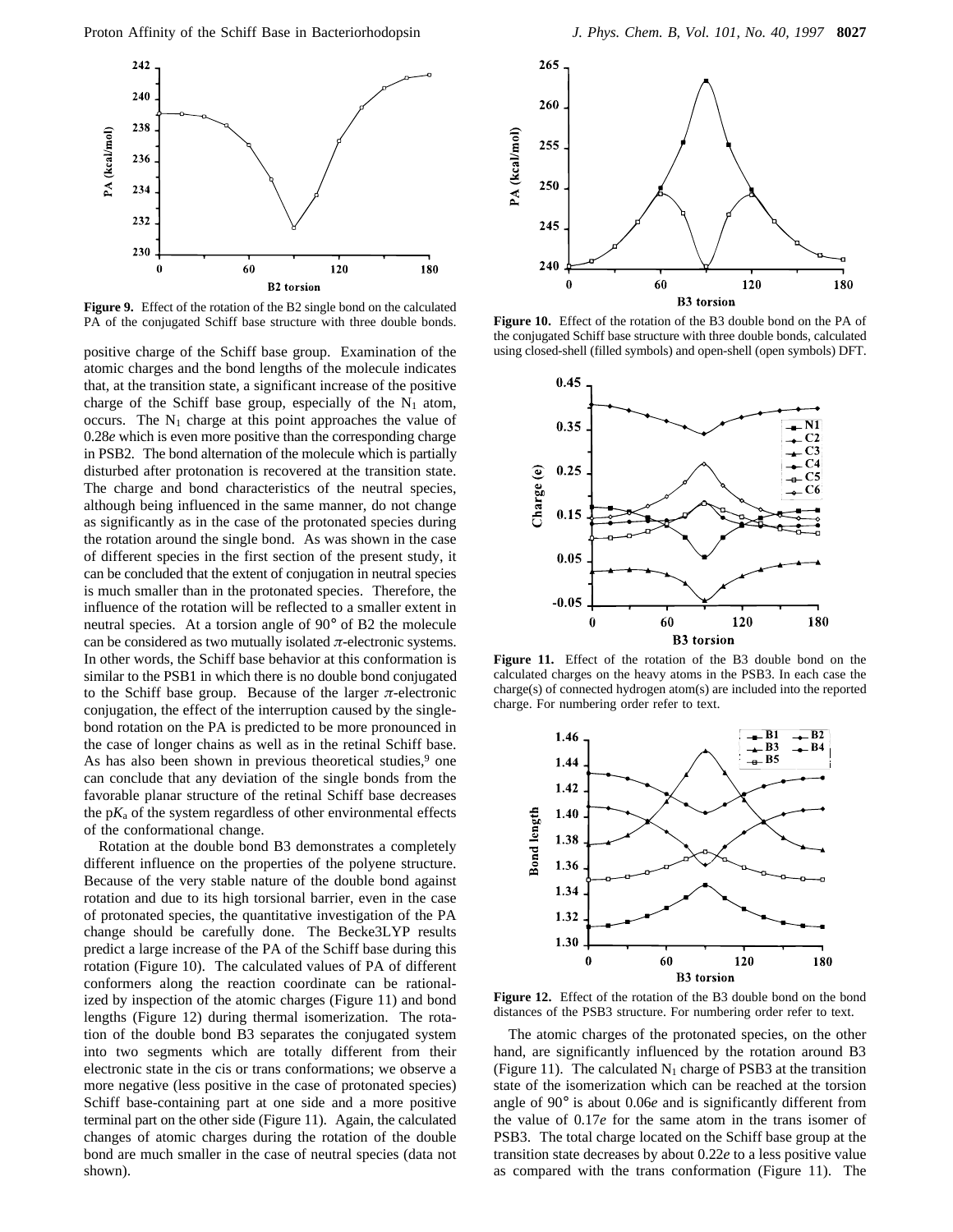

**Figure 9.** Effect of the rotation of the B2 single bond on the calculated PA of the conjugated Schiff base structure with three double bonds. **Figure 10.** Effect of the rotation of the B3 double bond on the PA of

positive charge of the Schiff base group. Examination of the atomic charges and the bond lengths of the molecule indicates that, at the transition state, a significant increase of the positive charge of the Schiff base group, especially of the  $N_1$  atom, occurs. The  $N_1$  charge at this point approaches the value of 0.28*e* which is even more positive than the corresponding charge in PSB2. The bond alternation of the molecule which is partially disturbed after protonation is recovered at the transition state. The charge and bond characteristics of the neutral species, although being influenced in the same manner, do not change as significantly as in the case of the protonated species during the rotation around the single bond. As was shown in the case of different species in the first section of the present study, it can be concluded that the extent of conjugation in neutral species is much smaller than in the protonated species. Therefore, the influence of the rotation will be reflected to a smaller extent in neutral species. At a torsion angle of 90° of B2 the molecule can be considered as two mutually isolated  $\pi$ -electronic systems. In other words, the Schiff base behavior at this conformation is similar to the PSB1 in which there is no double bond conjugated to the Schiff base group. Because of the larger  $\pi$ -electronic conjugation, the effect of the interruption caused by the singlebond rotation on the PA is predicted to be more pronounced in the case of longer chains as well as in the retinal Schiff base. As has also been shown in previous theoretical studies,<sup>9</sup> one can conclude that any deviation of the single bonds from the favorable planar structure of the retinal Schiff base decreases the  $pK_a$  of the system regardless of other environmental effects of the conformational change.

Rotation at the double bond B3 demonstrates a completely different influence on the properties of the polyene structure. Because of the very stable nature of the double bond against rotation and due to its high torsional barrier, even in the case of protonated species, the quantitative investigation of the PA change should be carefully done. The Becke3LYP results predict a large increase of the PA of the Schiff base during this rotation (Figure 10). The calculated values of PA of different conformers along the reaction coordinate can be rationalized by inspection of the atomic charges (Figure 11) and bond lengths (Figure 12) during thermal isomerization. The rotation of the double bond B3 separates the conjugated system into two segments which are totally different from their electronic state in the cis or trans conformations; we observe a more negative (less positive in the case of protonated species) Schiff base-containing part at one side and a more positive terminal part on the other side (Figure 11). Again, the calculated changes of atomic charges during the rotation of the double bond are much smaller in the case of neutral species (data not shown).



the conjugated Schiff base structure with three double bonds, calculated using closed-shell (filled symbols) and open-shell (open symbols) DFT.



**Figure 11.** Effect of the rotation of the B3 double bond on the calculated charges on the heavy atoms in the PSB3. In each case the charge(s) of connected hydrogen atom(s) are included into the reported charge. For numbering order refer to text.



**Figure 12.** Effect of the rotation of the B3 double bond on the bond distances of the PSB3 structure. For numbering order refer to text.

The atomic charges of the protonated species, on the other hand, are significantly influenced by the rotation around B3 (Figure 11). The calculated  $N_1$  charge of PSB3 at the transition state of the isomerization which can be reached at the torsion angle of 90° is about 0.06*e* and is significantly different from the value of 0.17*e* for the same atom in the trans isomer of PSB3. The total charge located on the Schiff base group at the transition state decreases by about 0.22*e* to a less positive value as compared with the trans conformation (Figure 11). The